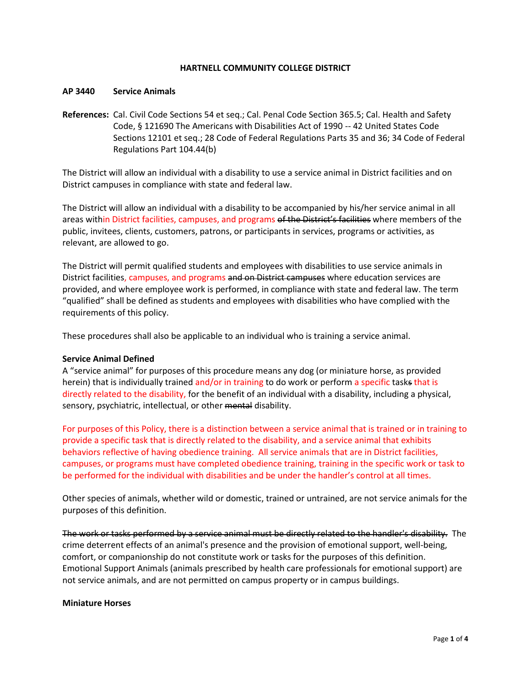## **HARTNELL COMMUNITY COLLEGE DISTRICT**

#### **AP 3440 Service Animals**

**References:** Cal. Civil Code Sections 54 et seq.; Cal. Penal Code Section 365.5; Cal. Health and Safety Code, § 121690 The Americans with Disabilities Act of 1990 -- 42 United States Code Sections 12101 et seq.; 28 Code of Federal Regulations Parts 35 and 36; 34 Code of Federal Regulations Part 104.44(b)

The District will allow an individual with a disability to use a service animal in District facilities and on District campuses in compliance with state and federal law.

The District will allow an individual with a disability to be accompanied by his/her service animal in all areas within District facilities, campuses, and programs of the District's facilities where members of the public, invitees, clients, customers, patrons, or participants in services, programs or activities, as relevant, are allowed to go.

The District will permit qualified students and employees with disabilities to use service animals in District facilities, campuses, and programs and on District campuses where education services are provided, and where employee work is performed, in compliance with state and federal law. The term "qualified" shall be defined as students and employees with disabilities who have complied with the requirements of this policy.

These procedures shall also be applicable to an individual who is training a service animal.

### **Service Animal Defined**

A "service animal" for purposes of this procedure means any dog (or miniature horse, as provided herein) that is individually trained and/or in training to do work or perform a specific tasks that is directly related to the disability, for the benefit of an individual with a disability, including a physical, sensory, psychiatric, intellectual, or other mental disability.

For purposes of this Policy, there is a distinction between a service animal that is trained or in training to provide a specific task that is directly related to the disability, and a service animal that exhibits behaviors reflective of having obedience training. All service animals that are in District facilities, campuses, or programs must have completed obedience training, training in the specific work or task to be performed for the individual with disabilities and be under the handler's control at all times.

Other species of animals, whether wild or domestic, trained or untrained, are not service animals for the purposes of this definition.

The work or tasks performed by a service animal must be directly related to the handler's disability. The crime deterrent effects of an animal's presence and the provision of emotional support, well-being, comfort, or companionship do not constitute work or tasks for the purposes of this definition. Emotional Support Animals (animals prescribed by health care professionals for emotional support) are not service animals, and are not permitted on campus property or in campus buildings.

### **Miniature Horses**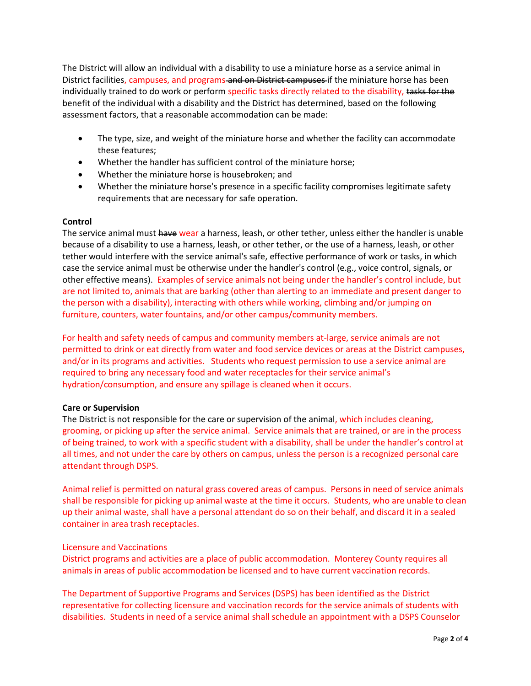The District will allow an individual with a disability to use a miniature horse as a service animal in District facilities, campuses, and programs and on District campuses if the miniature horse has been individually trained to do work or perform specific tasks directly related to the disability, tasks for the benefit of the individual with a disability and the District has determined, based on the following assessment factors, that a reasonable accommodation can be made:

- The type, size, and weight of the miniature horse and whether the facility can accommodate these features;
- Whether the handler has sufficient control of the miniature horse;
- Whether the miniature horse is housebroken; and
- Whether the miniature horse's presence in a specific facility compromises legitimate safety requirements that are necessary for safe operation.

# **Control**

The service animal must have wear a harness, leash, or other tether, unless either the handler is unable because of a disability to use a harness, leash, or other tether, or the use of a harness, leash, or other tether would interfere with the service animal's safe, effective performance of work or tasks, in which case the service animal must be otherwise under the handler's control (e.g., voice control, signals, or other effective means). Examples of service animals not being under the handler's control include, but are not limited to, animals that are barking (other than alerting to an immediate and present danger to the person with a disability), interacting with others while working, climbing and/or jumping on furniture, counters, water fountains, and/or other campus/community members.

For health and safety needs of campus and community members at-large, service animals are not permitted to drink or eat directly from water and food service devices or areas at the District campuses, and/or in its programs and activities. Students who request permission to use a service animal are required to bring any necessary food and water receptacles for their service animal's hydration/consumption, and ensure any spillage is cleaned when it occurs.

### **Care or Supervision**

The District is not responsible for the care or supervision of the animal, which includes cleaning, grooming, or picking up after the service animal. Service animals that are trained, or are in the process of being trained, to work with a specific student with a disability, shall be under the handler's control at all times, and not under the care by others on campus, unless the person is a recognized personal care attendant through DSPS.

Animal relief is permitted on natural grass covered areas of campus. Persons in need of service animals shall be responsible for picking up animal waste at the time it occurs. Students, who are unable to clean up their animal waste, shall have a personal attendant do so on their behalf, and discard it in a sealed container in area trash receptacles.

### Licensure and Vaccinations

District programs and activities are a place of public accommodation. Monterey County requires all animals in areas of public accommodation be licensed and to have current vaccination records.

The Department of Supportive Programs and Services (DSPS) has been identified as the District representative for collecting licensure and vaccination records for the service animals of students with disabilities. Students in need of a service animal shall schedule an appointment with a DSPS Counselor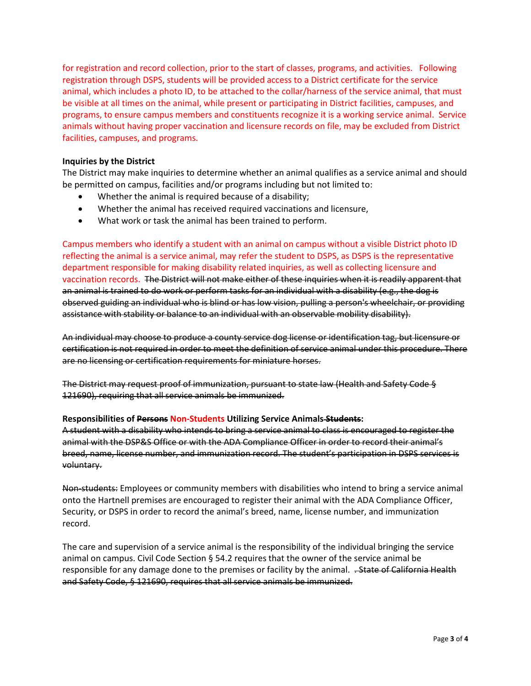for registration and record collection, prior to the start of classes, programs, and activities. Following registration through DSPS, students will be provided access to a District certificate for the service animal, which includes a photo ID, to be attached to the collar/harness of the service animal, that must be visible at all times on the animal, while present or participating in District facilities, campuses, and programs, to ensure campus members and constituents recognize it is a working service animal. Service animals without having proper vaccination and licensure records on file, may be excluded from District facilities, campuses, and programs.

### **Inquiries by the District**

The District may make inquiries to determine whether an animal qualifies as a service animal and should be permitted on campus, facilities and/or programs including but not limited to:

- Whether the animal is required because of a disability;
- Whether the animal has received required vaccinations and licensure,
- What work or task the animal has been trained to perform.

Campus members who identify a student with an animal on campus without a visible District photo ID reflecting the animal is a service animal, may refer the student to DSPS, as DSPS is the representative department responsible for making disability related inquiries, as well as collecting licensure and vaccination records.The District will not make either of these inquiries when it is readily apparent that an animal is trained to do work or perform tasks for an individual with a disability (e.g., the dog is observed guiding an individual who is blind or has low vision, pulling a person's wheelchair, or providing assistance with stability or balance to an individual with an observable mobility disability).

An individual may choose to produce a county service dog license or identification tag, but licensure or certification is not required in order to meet the definition of service animal under this procedure. There are no licensing or certification requirements for miniature horses.

The District may request proof of immunization, pursuant to state law (Health and Safety Code § 121690), requiring that all service animals be immunized.

### **Responsibilities of Persons Non-Students Utilizing Service Animals Students:**

A student with a disability who intends to bring a service animal to class is encouraged to register the animal with the DSP&S Office or with the ADA Compliance Officer in order to record their animal's breed, name, license number, and immunization record. The student's participation in DSPS services is voluntary.

Non-students: Employees or community members with disabilities who intend to bring a service animal onto the Hartnell premises are encouraged to register their animal with the ADA Compliance Officer, Security, or DSPS in order to record the animal's breed, name, license number, and immunization record.

The care and supervision of a service animal is the responsibility of the individual bringing the service animal on campus. Civil Code Section § 54.2 requires that the owner of the service animal be responsible for any damage done to the premises or facility by the animal. . State of California Health and Safety Code, § 121690, requires that all service animals be immunized.